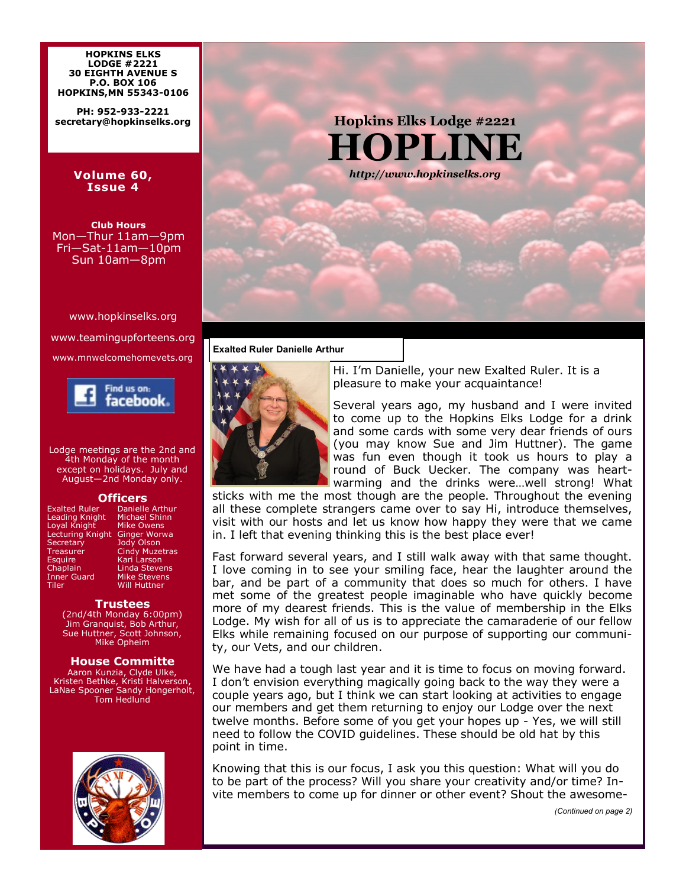**HOPKINS ELKS LODGE #2221 30 EIGHTH AVENUE S P.O. BOX 106 HOPKINS,MN 55343-0106**

**PH: 952-933-2221 secretary@hopkinselks.org**

### **Volume 60, Issue 4**

**Club Hours** Mon—Thur 11am—9pm Fri—Sat-11am—10pm Sun 10am—8pm

www.hopkinselks.org

www.teamingupforteens.org www.mnwelcomehomevets.org



Lodge meetings are the 2nd and 4th Monday of the month except on holidays. July and August—2nd Monday only.

**Officers**<br>Exalted Ruler Danielle Leading Knight Michael Shin<br>Loyal Knight Mike Owens Loyal Knight Lecturing Knight<br>Secretary Lecturing Knight Ginger Worwa<br>Secretary Jody Olson<br>Treasurer Cindy Muzetra Treasurer Cindy Muzetras Esquire Kari Larson Chaplain Linda Stevens Inner Guard Mike Stevens Tiler Will Huttner

Danielle Arthur<br>Michael Shinn

### **Trustees**

(2nd/4th Monday 6:00pm) Jim Granquist, Bob Arthur, Sue Huttner, Scott Johnson, Mike Opheim

# **House Committe**

Aaron Kunzia, Clyde Ulke, Kristen Bethke, Kristi Halverson, LaNae Spooner Sandy Hongerholt, Tom Hedlund



**Hopkins Elks Lodge #2221 HOPLINE** *http://www.hopkinselks.org*

## **Exalted Ruler Danielle Arthur**



Hi. I'm Danielle, your new Exalted Ruler. It is a pleasure to make your acquaintance!

Several years ago, my husband and I were invited to come up to the Hopkins Elks Lodge for a drink and some cards with some very dear friends of ours (you may know Sue and Jim Huttner). The game was fun even though it took us hours to play a round of Buck Uecker. The company was heartwarming and the drinks were…well strong! What

sticks with me the most though are the people. Throughout the evening all these complete strangers came over to say Hi, introduce themselves, visit with our hosts and let us know how happy they were that we came in. I left that evening thinking this is the best place ever!

Fast forward several years, and I still walk away with that same thought. I love coming in to see your smiling face, hear the laughter around the bar, and be part of a community that does so much for others. I have met some of the greatest people imaginable who have quickly become more of my dearest friends. This is the value of membership in the Elks Lodge. My wish for all of us is to appreciate the camaraderie of our fellow Elks while remaining focused on our purpose of supporting our community, our Vets, and our children.

We have had a tough last year and it is time to focus on moving forward. I don't envision everything magically going back to the way they were a couple years ago, but I think we can start looking at activities to engage our members and get them returning to enjoy our Lodge over the next twelve months. Before some of you get your hopes up - Yes, we will still need to follow the COVID guidelines. These should be old hat by this point in time.

Knowing that this is our focus, I ask you this question: What will you do to be part of the process? Will you share your creativity and/or time? Invite members to come up for dinner or other event? Shout the awesome-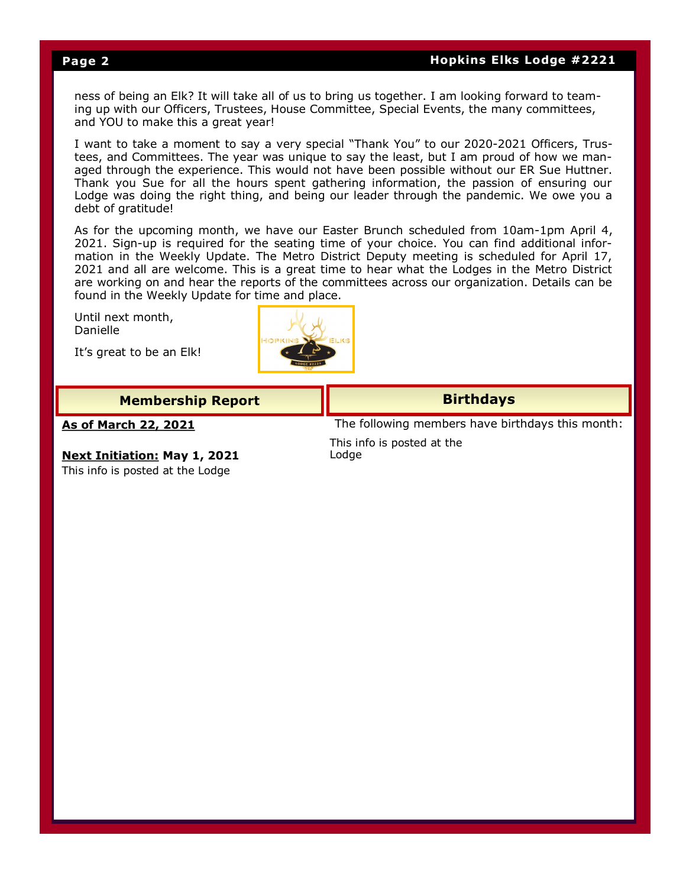# **Page 2 Hopkins Elks Lodge #2221**

ness of being an Elk? It will take all of us to bring us together. I am looking forward to teaming up with our Officers, Trustees, House Committee, Special Events, the many committees, and YOU to make this a great year!

I want to take a moment to say a very special "Thank You" to our 2020-2021 Officers, Trustees, and Committees. The year was unique to say the least, but I am proud of how we managed through the experience. This would not have been possible without our ER Sue Huttner. Thank you Sue for all the hours spent gathering information, the passion of ensuring our Lodge was doing the right thing, and being our leader through the pandemic. We owe you a debt of gratitude!

As for the upcoming month, we have our Easter Brunch scheduled from 10am-1pm April 4, 2021. Sign-up is required for the seating time of your choice. You can find additional information in the Weekly Update. The Metro District Deputy meeting is scheduled for April 17, 2021 and all are welcome. This is a great time to hear what the Lodges in the Metro District are working on and hear the reports of the committees across our organization. Details can be found in the Weekly Update for time and place.

Until next month, Danielle

It's great to be an Elk!



| <b>Membership Report</b>                                                | <b>Birthdays</b>                                 |  |  |  |
|-------------------------------------------------------------------------|--------------------------------------------------|--|--|--|
| <u>As of March 22, 2021</u>                                             | The following members have birthdays this month: |  |  |  |
| <b>Next Initiation: May 1, 2021</b><br>This info is posted at the Lodge | This info is posted at the<br>Lodge              |  |  |  |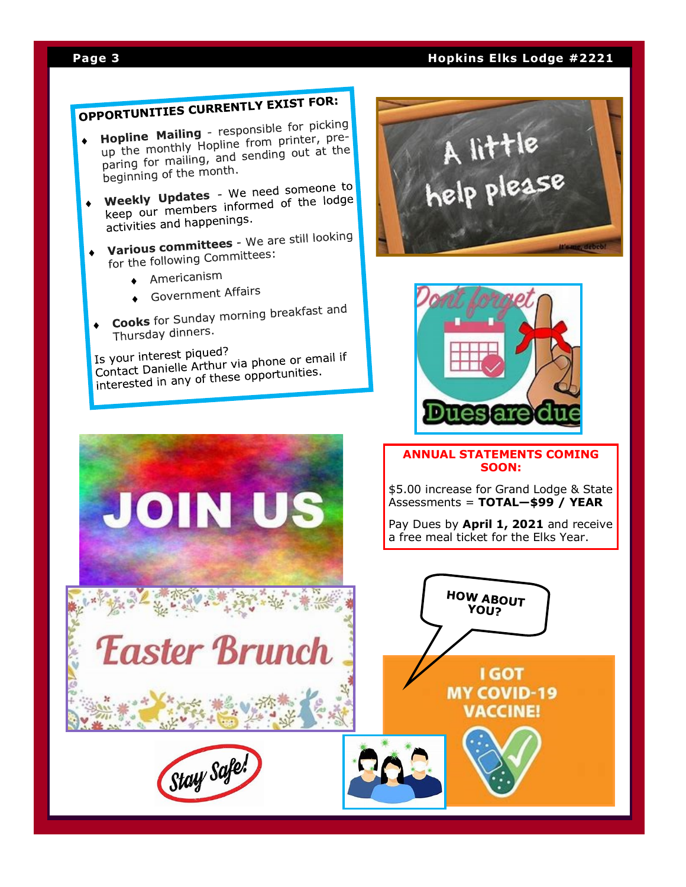# **Page 3 Hopkins Elks Lodge #2221**

# **OPPORTUNITIES CURRENTLY EXIST FOR:**

- **Hopline Mailing** responsible for picking<br>**Hopline Mailing** responsible for picking **Hopline Mailing** - responsible for pressing<br>up the monthly Hopline from printer, preup the monthly Hopline from printer, pro-<br>paring for mailing, and sending out at the<br>paring for national month. paring for manning, and
- beginning of the states We need someone to<br>Weekly Updates We need someone to **Weekly Updates** - We need someone to<br>keep our members informed of the lodge keep our members more<br>activities and happenings.
- **Various committees** We are still looking<br>**Various committees** We are still looking Various committees were
	- $\triangle$  Americanism
	- Government Affairs
- **Cooks** for Sunday morning breakfast and Thursday dinners.

Is your interest piqued? Is your interest piqued?<br>Contact Danielle Arthur via phone or email if<br>Contact under any of these opportunities. Contact Danielle Arthur Via priorie of Sm.<br>interested in any of these opportunities.





# **ANNUAL STATEMENTS COMING SOON:**